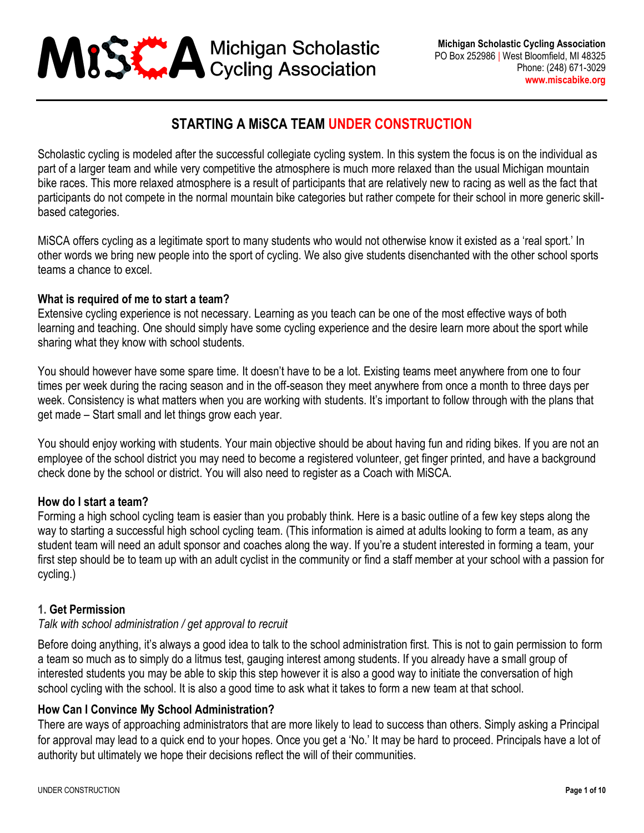

# **STARTING A MiSCA TEAM UNDER CONSTRUCTION**

Scholastic cycling is modeled after the successful collegiate cycling system. In this system the focus is on the individual as part of a larger team and while very competitive the atmosphere is much more relaxed than the usual Michigan mountain bike races. This more relaxed atmosphere is a result of participants that are relatively new to racing as well as the fact that participants do not compete in the normal mountain bike categories but rather compete for their school in more generic skillbased categories.

MiSCA offers cycling as a legitimate sport to many students who would not otherwise know it existed as a 'real sport.' In other words we bring new people into the sport of cycling. We also give students disenchanted with the other school sports teams a chance to excel.

#### **What is required of me to start a team?**

Extensive cycling experience is not necessary. Learning as you teach can be one of the most effective ways of both learning and teaching. One should simply have some cycling experience and the desire learn more about the sport while sharing what they know with school students.

You should however have some spare time. It doesn't have to be a lot. Existing teams meet anywhere from one to four times per week during the racing season and in the off-season they meet anywhere from once a month to three days per week. Consistency is what matters when you are working with students. It's important to follow through with the plans that get made – Start small and let things grow each year.

You should enjoy working with students. Your main objective should be about having fun and riding bikes. If you are not an employee of the school district you may need to become a registered volunteer, get finger printed, and have a background check done by the school or district. You will also need to register as a Coach with MiSCA.

#### **How do I start a team?**

Forming a high school cycling team is easier than you probably think. Here is a basic outline of a few key steps along the way to starting a successful high school cycling team. (This information is aimed at adults looking to form a team, as any student team will need an adult sponsor and coaches along the way. If you're a student interested in forming a team, your first step should be to team up with an adult cyclist in the community or find a staff member at your school with a passion for cycling.)

#### **1. Get Permission**

#### *Talk with school administration / get approval to recruit*

Before doing anything, it's always a good idea to talk to the school administration first. This is not to gain permission to form a team so much as to simply do a litmus test, gauging interest among students. If you already have a small group of interested students you may be able to skip this step however it is also a good way to initiate the conversation of high school cycling with the school. It is also a good time to ask what it takes to form a new team at that school.

#### **How Can I Convince My School Administration?**

There are ways of approaching administrators that are more likely to lead to success than others. Simply asking a Principal for approval may lead to a quick end to your hopes. Once you get a 'No.' It may be hard to proceed. Principals have a lot of authority but ultimately we hope their decisions reflect the will of their communities.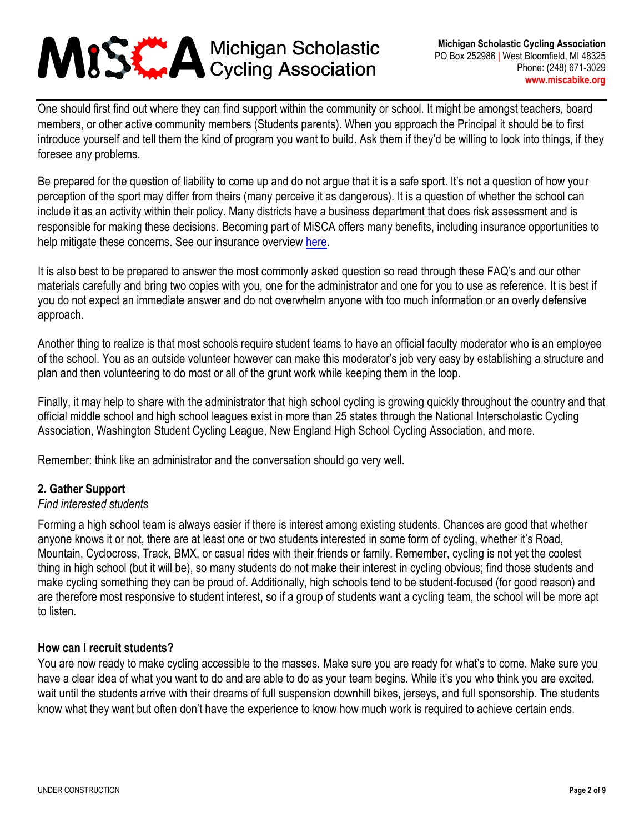One should first find out where they can find support within the community or school. It might be amongst teachers, board members, or other active community members (Students parents). When you approach the Principal it should be to first introduce yourself and tell them the kind of program you want to build. Ask them if they'd be willing to look into things, if they foresee any problems.

Be prepared for the question of liability to come up and do not argue that it is a safe sport. It's not a question of how your perception of the sport may differ from theirs (many perceive it as dangerous). It is a question of whether the school can include it as an activity within their policy. Many districts have a business department that does risk assessment and is responsible for making these decisions. Becoming part of MiSCA offers many benefits, including insurance opportunities to help mitigate these concerns. See our insurance overview [here.](https://miscabike.org/coach/InsuranceOverview.pdf)

It is also best to be prepared to answer the most commonly asked question so read through these FAQ's and our other materials carefully and bring two copies with you, one for the administrator and one for you to use as reference. It is best if you do not expect an immediate answer and do not overwhelm anyone with too much information or an overly defensive approach.

Another thing to realize is that most schools require student teams to have an official faculty moderator who is an employee of the school. You as an outside volunteer however can make this moderator's job very easy by establishing a structure and plan and then volunteering to do most or all of the grunt work while keeping them in the loop.

Finally, it may help to share with the administrator that high school cycling is growing quickly throughout the country and that official middle school and high school leagues exist in more than 25 states through the National Interscholastic Cycling Association, Washington Student Cycling League, New England High School Cycling Association, and more.

Remember: think like an administrator and the conversation should go very well.

#### **2. Gather Support**

#### *Find interested students*

Forming a high school team is always easier if there is interest among existing students. Chances are good that whether anyone knows it or not, there are at least one or two students interested in some form of cycling, whether it's Road, Mountain, Cyclocross, Track, BMX, or casual rides with their friends or family. Remember, cycling is not yet the coolest thing in high school (but it will be), so many students do not make their interest in cycling obvious; find those students and make cycling something they can be proud of. Additionally, high schools tend to be student-focused (for good reason) and are therefore most responsive to student interest, so if a group of students want a cycling team, the school will be more apt to listen.

#### **How can I recruit students?**

You are now ready to make cycling accessible to the masses. Make sure you are ready for what's to come. Make sure you have a clear idea of what you want to do and are able to do as your team begins. While it's you who think you are excited, wait until the students arrive with their dreams of full suspension downhill bikes, jerseys, and full sponsorship. The students know what they want but often don't have the experience to know how much work is required to achieve certain ends.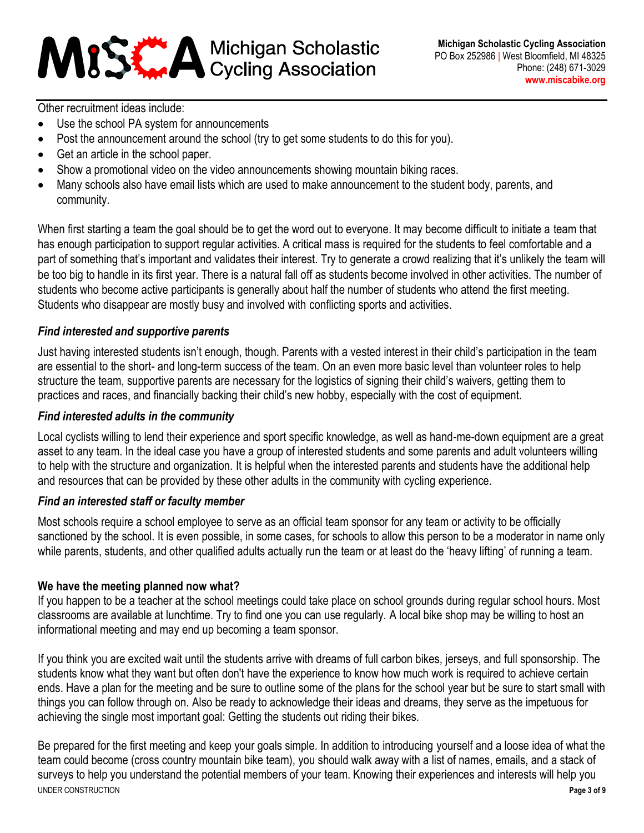Other recruitment ideas include:

- Use the school PA system for announcements
- Post the announcement around the school (try to get some students to do this for you).
- Get an article in the school paper.
- Show a promotional video on the video announcements showing mountain biking races.
- Many schools also have email lists which are used to make announcement to the student body, parents, and community.

When first starting a team the goal should be to get the word out to everyone. It may become difficult to initiate a team that has enough participation to support regular activities. A critical mass is required for the students to feel comfortable and a part of something that's important and validates their interest. Try to generate a crowd realizing that it's unlikely the team will be too big to handle in its first year. There is a natural fall off as students become involved in other activities. The number of students who become active participants is generally about half the number of students who attend the first meeting. Students who disappear are mostly busy and involved with conflicting sports and activities.

#### *Find interested and supportive parents*

Just having interested students isn't enough, though. Parents with a vested interest in their child's participation in the team are essential to the short- and long-term success of the team. On an even more basic level than volunteer roles to help structure the team, supportive parents are necessary for the logistics of signing their child's waivers, getting them to practices and races, and financially backing their child's new hobby, especially with the cost of equipment.

#### *Find interested adults in the community*

Local cyclists willing to lend their experience and sport specific knowledge, as well as hand-me-down equipment are a great asset to any team. In the ideal case you have a group of interested students and some parents and adult volunteers willing to help with the structure and organization. It is helpful when the interested parents and students have the additional help and resources that can be provided by these other adults in the community with cycling experience.

#### *Find an interested staff or faculty member*

Most schools require a school employee to serve as an official team sponsor for any team or activity to be officially sanctioned by the school. It is even possible, in some cases, for schools to allow this person to be a moderator in name only while parents, students, and other qualified adults actually run the team or at least do the 'heavy lifting' of running a team.

#### **We have the meeting planned now what?**

If you happen to be a teacher at the school meetings could take place on school grounds during regular school hours. Most classrooms are available at lunchtime. Try to find one you can use regularly. A local bike shop may be willing to host an informational meeting and may end up becoming a team sponsor.

If you think you are excited wait until the students arrive with dreams of full carbon bikes, jerseys, and full sponsorship. The students know what they want but often don't have the experience to know how much work is required to achieve certain ends. Have a plan for the meeting and be sure to outline some of the plans for the school year but be sure to start small with things you can follow through on. Also be ready to acknowledge their ideas and dreams, they serve as the impetuous for achieving the single most important goal: Getting the students out riding their bikes.

UNDER CONSTRUCTION **Page 3 of 9** Be prepared for the first meeting and keep your goals simple. In addition to introducing yourself and a loose idea of what the team could become (cross country mountain bike team), you should walk away with a list of names, emails, and a stack of surveys to help you understand the potential members of your team. Knowing their experiences and interests will help you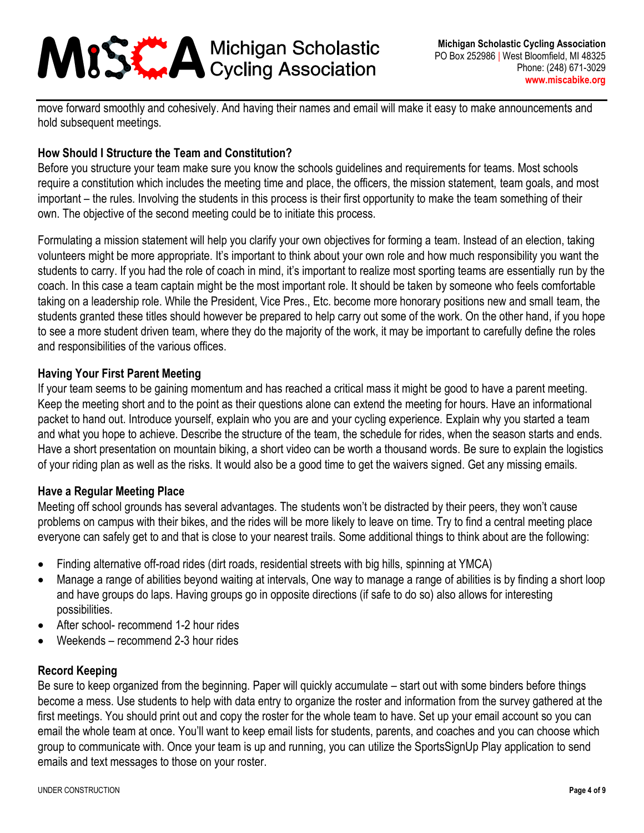move forward smoothly and cohesively. And having their names and email will make it easy to make announcements and hold subsequent meetings.

## **How Should I Structure the Team and Constitution?**

Before you structure your team make sure you know the schools guidelines and requirements for teams. Most schools require a constitution which includes the meeting time and place, the officers, the mission statement, team goals, and most important – the rules. Involving the students in this process is their first opportunity to make the team something of their own. The objective of the second meeting could be to initiate this process.

Formulating a mission statement will help you clarify your own objectives for forming a team. Instead of an election, taking volunteers might be more appropriate. It's important to think about your own role and how much responsibility you want the students to carry. If you had the role of coach in mind, it's important to realize most sporting teams are essentially run by the coach. In this case a team captain might be the most important role. It should be taken by someone who feels comfortable taking on a leadership role. While the President, Vice Pres., Etc. become more honorary positions new and small team, the students granted these titles should however be prepared to help carry out some of the work. On the other hand, if you hope to see a more student driven team, where they do the majority of the work, it may be important to carefully define the roles and responsibilities of the various offices.

#### **Having Your First Parent Meeting**

If your team seems to be gaining momentum and has reached a critical mass it might be good to have a parent meeting. Keep the meeting short and to the point as their questions alone can extend the meeting for hours. Have an informational packet to hand out. Introduce yourself, explain who you are and your cycling experience. Explain why you started a team and what you hope to achieve. Describe the structure of the team, the schedule for rides, when the season starts and ends. Have a short presentation on mountain biking, a short video can be worth a thousand words. Be sure to explain the logistics of your riding plan as well as the risks. It would also be a good time to get the waivers signed. Get any missing emails.

#### **Have a Regular Meeting Place**

Meeting off school grounds has several advantages. The students won't be distracted by their peers, they won't cause problems on campus with their bikes, and the rides will be more likely to leave on time. Try to find a central meeting place everyone can safely get to and that is close to your nearest trails. Some additional things to think about are the following:

- Finding alternative off-road rides (dirt roads, residential streets with big hills, spinning at YMCA)
- Manage a range of abilities beyond waiting at intervals, One way to manage a range of abilities is by finding a short loop and have groups do laps. Having groups go in opposite directions (if safe to do so) also allows for interesting possibilities.
- After school- recommend 1-2 hour rides
- Weekends recommend 2-3 hour rides

#### **Record Keeping**

Be sure to keep organized from the beginning. Paper will quickly accumulate – start out with some binders before things become a mess. Use students to help with data entry to organize the roster and information from the survey gathered at the first meetings. You should print out and copy the roster for the whole team to have. Set up your email account so you can email the whole team at once. You'll want to keep email lists for students, parents, and coaches and you can choose which group to communicate with. Once your team is up and running, you can utilize the SportsSignUp Play application to send emails and text messages to those on your roster.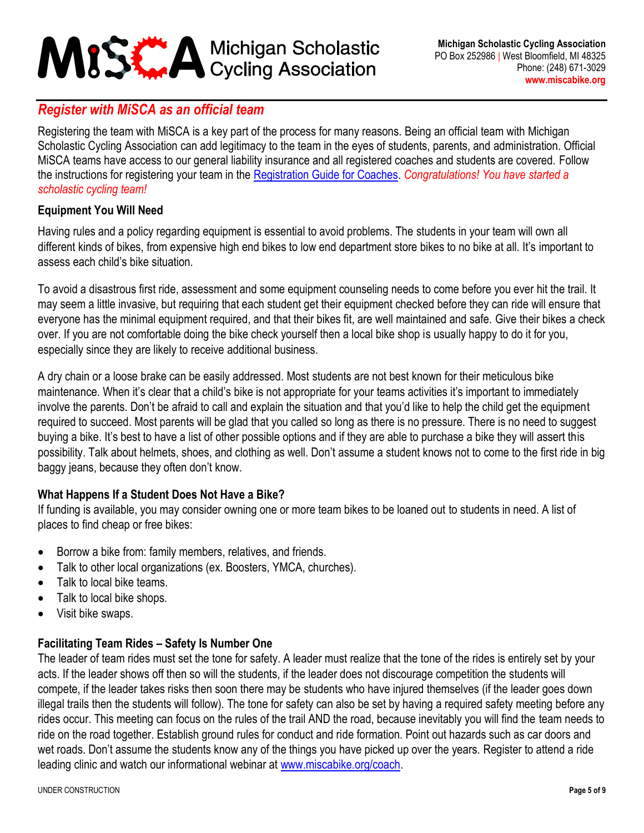## *Register with MiSCA as an official team*

Registering the team with MiSCA is a key part of the process for many reasons. Being an official team with Michigan Scholastic Cycling Association can add legitimacy to the team in the eyes of students, parents, and administration. Official MiSCA teams have access to our general liability insurance and all registered coaches and students are covered. Follow the instructions for registering your team in the [Registration Guide for Coaches.](https://miscabike.org/coach/RegistrationGuide_Coaches.pdf) *Congratulations! You have started a scholastic cycling team!*

#### **Equipment You Will Need**

Having rules and a policy regarding equipment is essential to avoid problems. The students in your team will own all different kinds of bikes, from expensive high end bikes to low end department store bikes to no bike at all. It's important to assess each child's bike situation.

To avoid a disastrous first ride, assessment and some equipment counseling needs to come before you ever hit the trail. It may seem a little invasive, but requiring that each student get their equipment checked before they can ride will ensure that everyone has the minimal equipment required, and that their bikes fit, are well maintained and safe. Give their bikes a check over. If you are not comfortable doing the bike check yourself then a local bike shop is usually happy to do it for you, especially since they are likely to receive additional business.

A dry chain or a loose brake can be easily addressed. Most students are not best known for their meticulous bike maintenance. When it's clear that a child's bike is not appropriate for your teams activities it's important to immediately involve the parents. Don't be afraid to call and explain the situation and that you'd like to help the child get the equipment required to succeed. Most parents will be glad that you called so long as there is no pressure. There is no need to suggest buying a bike. It's best to have a list of other possible options and if they are able to purchase a bike they will assert this possibility. Talk about helmets, shoes, and clothing as well. Don't assume a student knows not to come to the first ride in big baggy jeans, because they often don't know.

## **What Happens If a Student Does Not Have a Bike?**

If funding is available, you may consider owning one or more team bikes to be loaned out to students in need. A list of places to find cheap or free bikes:

- Borrow a bike from: family members, relatives, and friends.
- Talk to other local organizations (ex. Boosters, YMCA, churches).
- Talk to local bike teams.
- Talk to local bike shops.
- Visit bike swaps.

## **Facilitating Team Rides – Safety Is Number One**

The leader of team rides must set the tone for safety. A leader must realize that the tone of the rides is entirely set by your acts. If the leader shows off then so will the students, if the leader does not discourage competition the students will compete, if the leader takes risks then soon there may be students who have injured themselves (if the leader goes down illegal trails then the students will follow). The tone for safety can also be set by having a required safety meeting before any rides occur. This meeting can focus on the rules of the trail AND the road, because inevitably you will find the team needs to ride on the road together. Establish ground rules for conduct and ride formation. Point out hazards such as car doors and wet roads. Don't assume the students know any of the things you have picked up over the years. Register to attend a ride leading clinic and watch our informational webinar at [www.miscabike.org/coach.](http://www.miscabike.org/coach)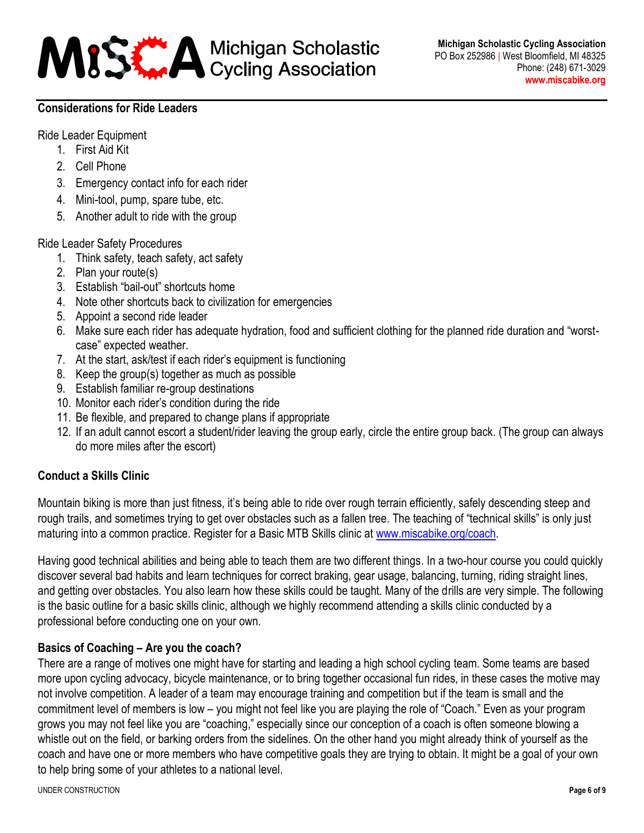

#### **Considerations for Ride Leaders**

Ride Leader Equipment

- 1. First Aid Kit
- 2. Cell Phone
- 3. Emergency contact info for each rider
- 4. Mini-tool, pump, spare tube, etc.
- 5. Another adult to ride with the group

Ride Leader Safety Procedures

- 1. Think safety, teach safety, act safety
- 2. Plan your route(s)
- 3. Establish "bail-out" shortcuts home
- 4. Note other shortcuts back to civilization for emergencies
- 5. Appoint a second ride leader
- 6. Make sure each rider has adequate hydration, food and sufficient clothing for the planned ride duration and "worstcase" expected weather.
- 7. At the start, ask/test if each rider's equipment is functioning
- 8. Keep the group(s) together as much as possible
- 9. Establish familiar re-group destinations
- 10. Monitor each rider's condition during the ride
- 11. Be flexible, and prepared to change plans if appropriate
- 12. If an adult cannot escort a student/rider leaving the group early, circle the entire group back. (The group can always do more miles after the escort)

## **Conduct a Skills Clinic**

Mountain biking is more than just fitness, it's being able to ride over rough terrain efficiently, safely descending steep and rough trails, and sometimes trying to get over obstacles such as a fallen tree. The teaching of "technical skills" is only just maturing into a common practice. Register for a Basic MTB Skills clinic at [www.miscabike.org/coach.](http://www.miscabike.org/coach)

Having good technical abilities and being able to teach them are two different things. In a two-hour course you could quickly discover several bad habits and learn techniques for correct braking, gear usage, balancing, turning, riding straight lines, and getting over obstacles. You also learn how these skills could be taught. Many of the drills are very simple. The following is the basic outline for a basic skills clinic, although we highly recommend attending a skills clinic conducted by a professional before conducting one on your own.

## **Basics of Coaching – Are you the coach?**

There are a range of motives one might have for starting and leading a high school cycling team. Some teams are based more upon cycling advocacy, bicycle maintenance, or to bring together occasional fun rides, in these cases the motive may not involve competition. A leader of a team may encourage training and competition but if the team is small and the commitment level of members is low – you might not feel like you are playing the role of "Coach." Even as your program grows you may not feel like you are "coaching," especially since our conception of a coach is often someone blowing a whistle out on the field, or barking orders from the sidelines. On the other hand you might already think of yourself as the coach and have one or more members who have competitive goals they are trying to obtain. It might be a goal of your own to help bring some of your athletes to a national level.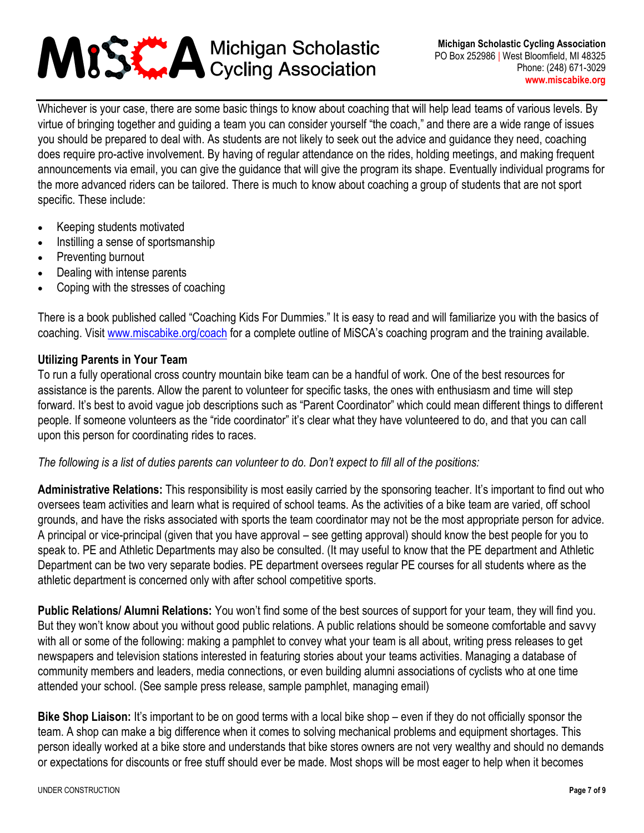Whichever is your case, there are some basic things to know about coaching that will help lead teams of various levels. By virtue of bringing together and guiding a team you can consider yourself "the coach," and there are a wide range of issues you should be prepared to deal with. As students are not likely to seek out the advice and guidance they need, coaching does require pro-active involvement. By having of regular attendance on the rides, holding meetings, and making frequent announcements via email, you can give the guidance that will give the program its shape. Eventually individual programs for the more advanced riders can be tailored. There is much to know about coaching a group of students that are not sport specific. These include:

- Keeping students motivated
- Instilling a sense of sportsmanship
- Preventing burnout
- Dealing with intense parents
- Coping with the stresses of coaching

There is a book published called "Coaching Kids For Dummies." It is easy to read and will familiarize you with the basics of coaching. Visit [www.miscabike.org/coach](http://www.miscabike.org/coach) for a complete outline of MiSCA's coaching program and the training available.

#### **Utilizing Parents in Your Team**

To run a fully operational cross country mountain bike team can be a handful of work. One of the best resources for assistance is the parents. Allow the parent to volunteer for specific tasks, the ones with enthusiasm and time will step forward. It's best to avoid vague job descriptions such as "Parent Coordinator" which could mean different things to different people. If someone volunteers as the "ride coordinator" it's clear what they have volunteered to do, and that you can call upon this person for coordinating rides to races.

#### *The following is a list of duties parents can volunteer to do. Don't expect to fill all of the positions:*

**Administrative Relations:** This responsibility is most easily carried by the sponsoring teacher. It's important to find out who oversees team activities and learn what is required of school teams. As the activities of a bike team are varied, off school grounds, and have the risks associated with sports the team coordinator may not be the most appropriate person for advice. A principal or vice-principal (given that you have approval – see getting approval) should know the best people for you to speak to. PE and Athletic Departments may also be consulted. (It may useful to know that the PE department and Athletic Department can be two very separate bodies. PE department oversees regular PE courses for all students where as the athletic department is concerned only with after school competitive sports.

**Public Relations/ Alumni Relations:** You won't find some of the best sources of support for your team, they will find you. But they won't know about you without good public relations. A public relations should be someone comfortable and savvy with all or some of the following: making a pamphlet to convey what your team is all about, writing press releases to get newspapers and television stations interested in featuring stories about your teams activities. Managing a database of community members and leaders, media connections, or even building alumni associations of cyclists who at one time attended your school. (See sample press release, sample pamphlet, managing email)

**Bike Shop Liaison:** It's important to be on good terms with a local bike shop – even if they do not officially sponsor the team. A shop can make a big difference when it comes to solving mechanical problems and equipment shortages. This person ideally worked at a bike store and understands that bike stores owners are not very wealthy and should no demands or expectations for discounts or free stuff should ever be made. Most shops will be most eager to help when it becomes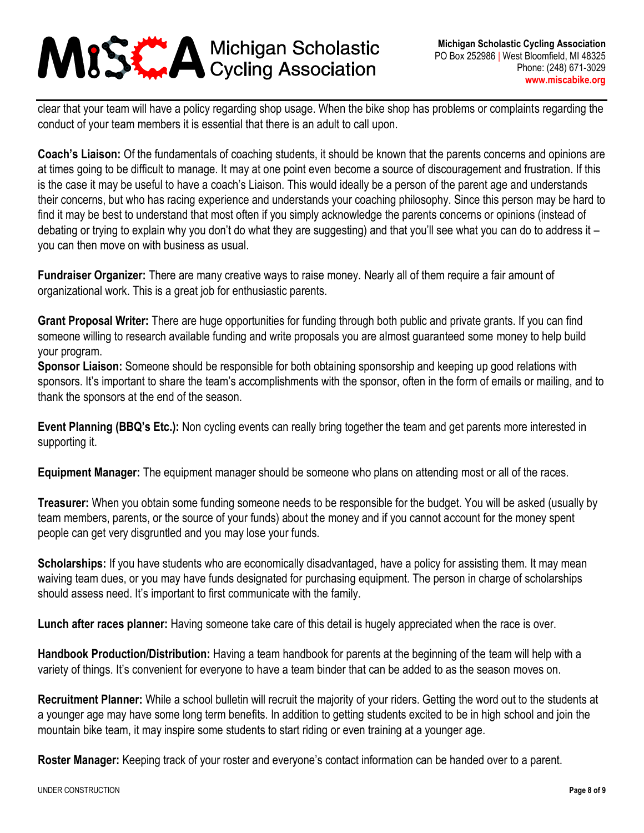clear that your team will have a policy regarding shop usage. When the bike shop has problems or complaints regarding the conduct of your team members it is essential that there is an adult to call upon.

**Coach's Liaison:** Of the fundamentals of coaching students, it should be known that the parents concerns and opinions are at times going to be difficult to manage. It may at one point even become a source of discouragement and frustration. If this is the case it may be useful to have a coach's Liaison. This would ideally be a person of the parent age and understands their concerns, but who has racing experience and understands your coaching philosophy. Since this person may be hard to find it may be best to understand that most often if you simply acknowledge the parents concerns or opinions (instead of debating or trying to explain why you don't do what they are suggesting) and that you'll see what you can do to address it – you can then move on with business as usual.

**Fundraiser Organizer:** There are many creative ways to raise money. Nearly all of them require a fair amount of organizational work. This is a great job for enthusiastic parents.

**Grant Proposal Writer:** There are huge opportunities for funding through both public and private grants. If you can find someone willing to research available funding and write proposals you are almost guaranteed some money to help build your program.

**Sponsor Liaison:** Someone should be responsible for both obtaining sponsorship and keeping up good relations with sponsors. It's important to share the team's accomplishments with the sponsor, often in the form of emails or mailing, and to thank the sponsors at the end of the season.

**Event Planning (BBQ's Etc.):** Non cycling events can really bring together the team and get parents more interested in supporting it.

**Equipment Manager:** The equipment manager should be someone who plans on attending most or all of the races.

**Treasurer:** When you obtain some funding someone needs to be responsible for the budget. You will be asked (usually by team members, parents, or the source of your funds) about the money and if you cannot account for the money spent people can get very disgruntled and you may lose your funds.

**Scholarships:** If you have students who are economically disadvantaged, have a policy for assisting them. It may mean waiving team dues, or you may have funds designated for purchasing equipment. The person in charge of scholarships should assess need. It's important to first communicate with the family.

**Lunch after races planner:** Having someone take care of this detail is hugely appreciated when the race is over.

**Handbook Production/Distribution:** Having a team handbook for parents at the beginning of the team will help with a variety of things. It's convenient for everyone to have a team binder that can be added to as the season moves on.

**Recruitment Planner:** While a school bulletin will recruit the majority of your riders. Getting the word out to the students at a younger age may have some long term benefits. In addition to getting students excited to be in high school and join the mountain bike team, it may inspire some students to start riding or even training at a younger age.

**Roster Manager:** Keeping track of your roster and everyone's contact information can be handed over to a parent.